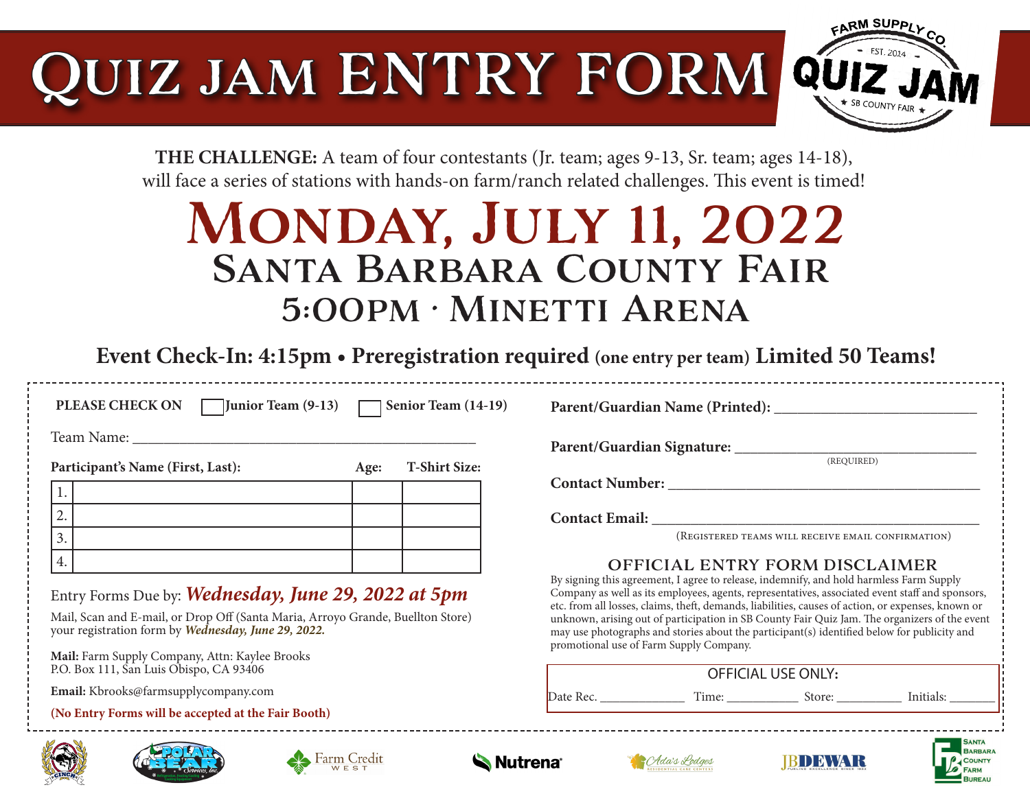# Quiz jam ENTRY FORM



**THE CHALLENGE:** A team of four contestants (Jr. team; ages 9-13, Sr. team; ages 14-18), will face a series of stations with hands-on farm/ranch related challenges. This event is timed!

## Monday, July 11, 2022 Santa Barbara County Fair 5:00pm • Minetti Arena

**Event Check-In: 4:15pm • Preregistration required (one entry per team) Limited 50 Teams!** 

**PLEASE CHECK ON Junior Team (9-13) Senior Team (14-19)** 

**Parent/Guardian Name (Printed): \_\_\_\_\_\_\_\_\_\_\_\_\_\_\_\_\_\_\_\_\_\_\_\_\_\_**

Team Name:

Participant's Name (First, Last): **Age:** T-Shirt Size:

| r articipanto rumic (r mot, Daot). |  | $\mathbf{1}$ | T OTHER OTHER |
|------------------------------------|--|--------------|---------------|
|                                    |  |              |               |
| ∼.                                 |  |              |               |
| <u>.</u>                           |  |              |               |
| I.                                 |  |              |               |

Entry Forms Due by: *Wednesday, June 29, 2022 at 5pm* 

Mail, Scan and E-mail, or Drop Off (Santa Maria, Arroyo Grande, Buellton Store) your registration form by *Wednesday, June 29, 2022.* 

**Mail:** Farm Supply Company, Attn: Kaylee Brooks P.O. Box 111, San Luis Obispo, CA 93406

 **Email:** Kbrooks@farmsupplycompany.com

**(No Entry Forms will be accepted at the Fair Booth)**







**Parent/Guardian Signature: \_\_\_\_\_\_\_\_\_\_\_\_\_\_\_\_\_\_\_\_\_\_\_\_\_\_\_\_\_\_\_**

(REQUIRED)

**Contact Number: \_\_\_\_\_\_\_\_\_\_\_\_\_\_\_\_\_\_\_\_\_\_\_\_\_\_\_\_\_\_\_\_\_\_\_\_\_\_\_\_**

Contact Email:

(Registered teams will receive email confirmation)

#### OFFICIAL ENTRY FORM DISCLAIMER

By signing this agreement, I agree to release, indemnify, and hold harmless Farm Supply Company as well as its employees, agents, representatives, associated event staff and sponsors, etc. from all losses, claims, theft, demands, liabilities, causes of action, or expenses, known or unknown, arising out of participation in SB County Fair Quiz Jam. The organizers of the event may use photographs and stories about the participant(s) identified below for publicity and promotional use of Farm Supply Company.

| <b>OFFICIAL USE ONLY:</b> |       |        |           |  |  |  |
|---------------------------|-------|--------|-----------|--|--|--|
| Date Rec.                 | Time: | store: | Initials: |  |  |  |



**BARRARA**